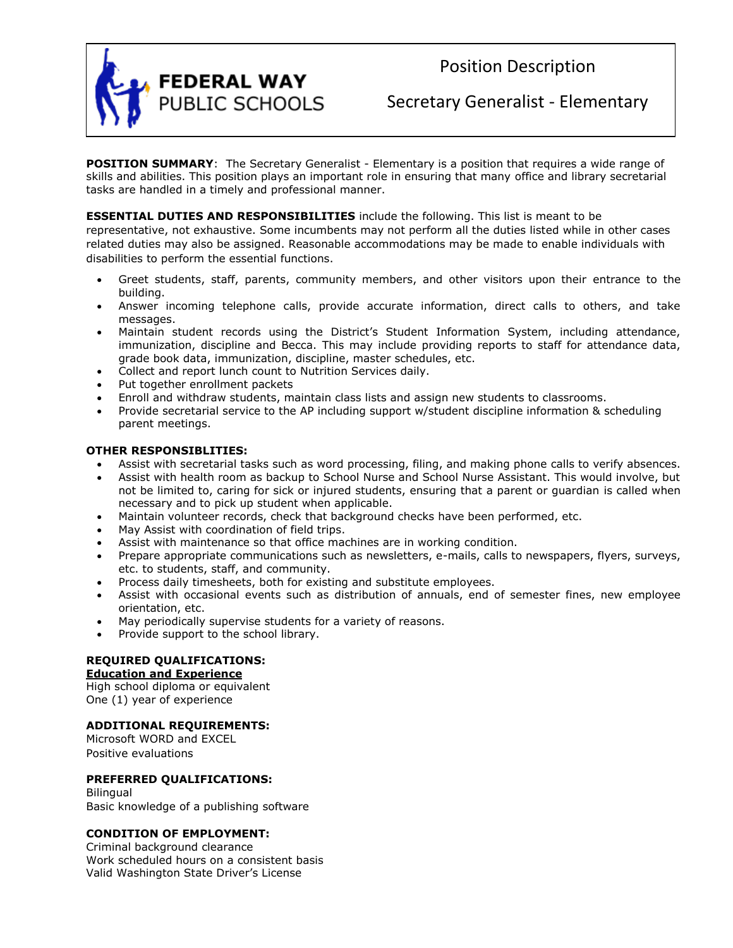

Position Description

Secretary Generalist - Elementary

**POSITION SUMMARY**: The Secretary Generalist - Elementary is a position that requires a wide range of skills and abilities. This position plays an important role in ensuring that many office and library secretarial tasks are handled in a timely and professional manner.

# **ESSENTIAL DUTIES AND RESPONSIBILITIES** include the following. This list is meant to be

representative, not exhaustive. Some incumbents may not perform all the duties listed while in other cases related duties may also be assigned. Reasonable accommodations may be made to enable individuals with disabilities to perform the essential functions.

- Greet students, staff, parents, community members, and other visitors upon their entrance to the building.
- Answer incoming telephone calls, provide accurate information, direct calls to others, and take messages.
- Maintain student records using the District's Student Information System, including attendance, immunization, discipline and Becca. This may include providing reports to staff for attendance data, grade book data, immunization, discipline, master schedules, etc.
- Collect and report lunch count to Nutrition Services daily.
- Put together enrollment packets
- Enroll and withdraw students, maintain class lists and assign new students to classrooms.
- Provide secretarial service to the AP including support w/student discipline information & scheduling parent meetings.

### **OTHER RESPONSIBLITIES:**

- Assist with secretarial tasks such as word processing, filing, and making phone calls to verify absences.
- Assist with health room as backup to School Nurse and School Nurse Assistant. This would involve, but not be limited to, caring for sick or injured students, ensuring that a parent or guardian is called when necessary and to pick up student when applicable.
- Maintain volunteer records, check that background checks have been performed, etc.
- May Assist with coordination of field trips.
- Assist with maintenance so that office machines are in working condition.
- Prepare appropriate communications such as newsletters, e-mails, calls to newspapers, flyers, surveys, etc. to students, staff, and community.
- Process daily timesheets, both for existing and substitute employees.
- Assist with occasional events such as distribution of annuals, end of semester fines, new employee orientation, etc.
- May periodically supervise students for a variety of reasons.
- Provide support to the school library.

## **REQUIRED QUALIFICATIONS:**

#### **Education and Experience**

High school diploma or equivalent One (1) year of experience

## **ADDITIONAL REQUIREMENTS:**

Microsoft WORD and EXCEL Positive evaluations

## **PREFERRED QUALIFICATIONS:**

**Bilingual** Basic knowledge of a publishing software

## **CONDITION OF EMPLOYMENT:**

Criminal background clearance Work scheduled hours on a consistent basis Valid Washington State Driver's License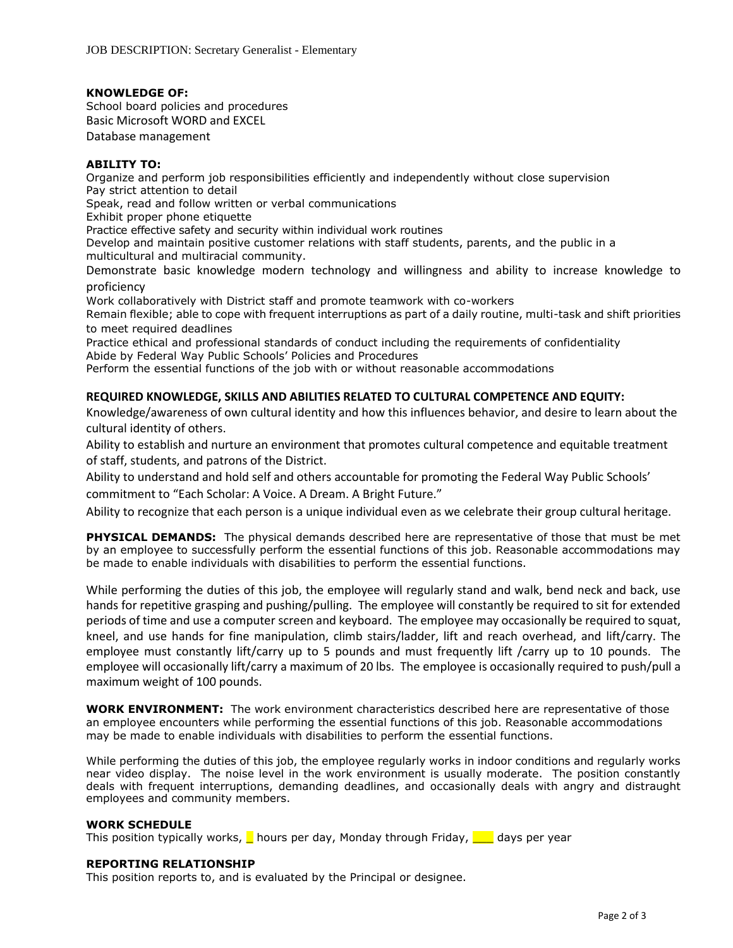### **KNOWLEDGE OF:**

School board policies and procedures Basic Microsoft WORD and EXCEL Database management

## **ABILITY TO:**

Organize and perform job responsibilities efficiently and independently without close supervision Pay strict attention to detail

Speak, read and follow written or verbal communications

Exhibit proper phone etiquette

Practice effective safety and security within individual work routines

Develop and maintain positive customer relations with staff students, parents, and the public in a multicultural and multiracial community.

Demonstrate basic knowledge modern technology and willingness and ability to increase knowledge to proficiency

Work collaboratively with District staff and promote teamwork with co-workers

Remain flexible; able to cope with frequent interruptions as part of a daily routine, multi-task and shift priorities to meet required deadlines

Practice ethical and professional standards of conduct including the requirements of confidentiality Abide by Federal Way Public Schools' Policies and Procedures

Perform the essential functions of the job with or without reasonable accommodations

## **REQUIRED KNOWLEDGE, SKILLS AND ABILITIES RELATED TO CULTURAL COMPETENCE AND EQUITY:**

Knowledge/awareness of own cultural identity and how this influences behavior, and desire to learn about the cultural identity of others.

Ability to establish and nurture an environment that promotes cultural competence and equitable treatment of staff, students, and patrons of the District.

Ability to understand and hold self and others accountable for promoting the Federal Way Public Schools'

commitment to "Each Scholar: A Voice. A Dream. A Bright Future."

Ability to recognize that each person is a unique individual even as we celebrate their group cultural heritage.

**PHYSICAL DEMANDS:** The physical demands described here are representative of those that must be met by an employee to successfully perform the essential functions of this job. Reasonable accommodations may be made to enable individuals with disabilities to perform the essential functions.

While performing the duties of this job, the employee will regularly stand and walk, bend neck and back, use hands for repetitive grasping and pushing/pulling. The employee will constantly be required to sit for extended periods of time and use a computer screen and keyboard. The employee may occasionally be required to squat, kneel, and use hands for fine manipulation, climb stairs/ladder, lift and reach overhead, and lift/carry. The employee must constantly lift/carry up to 5 pounds and must frequently lift /carry up to 10 pounds. The employee will occasionally lift/carry a maximum of 20 lbs. The employee is occasionally required to push/pull a maximum weight of 100 pounds.

**WORK ENVIRONMENT:** The work environment characteristics described here are representative of those an employee encounters while performing the essential functions of this job. Reasonable accommodations may be made to enable individuals with disabilities to perform the essential functions.

While performing the duties of this job, the employee regularly works in indoor conditions and regularly works near video display. The noise level in the work environment is usually moderate. The position constantly deals with frequent interruptions, demanding deadlines, and occasionally deals with angry and distraught employees and community members.

#### **WORK SCHEDULE**

This position typically works,  $\Box$  hours per day, Monday through Friday,  $\Box$  days per year

#### **REPORTING RELATIONSHIP**

This position reports to, and is evaluated by the Principal or designee.